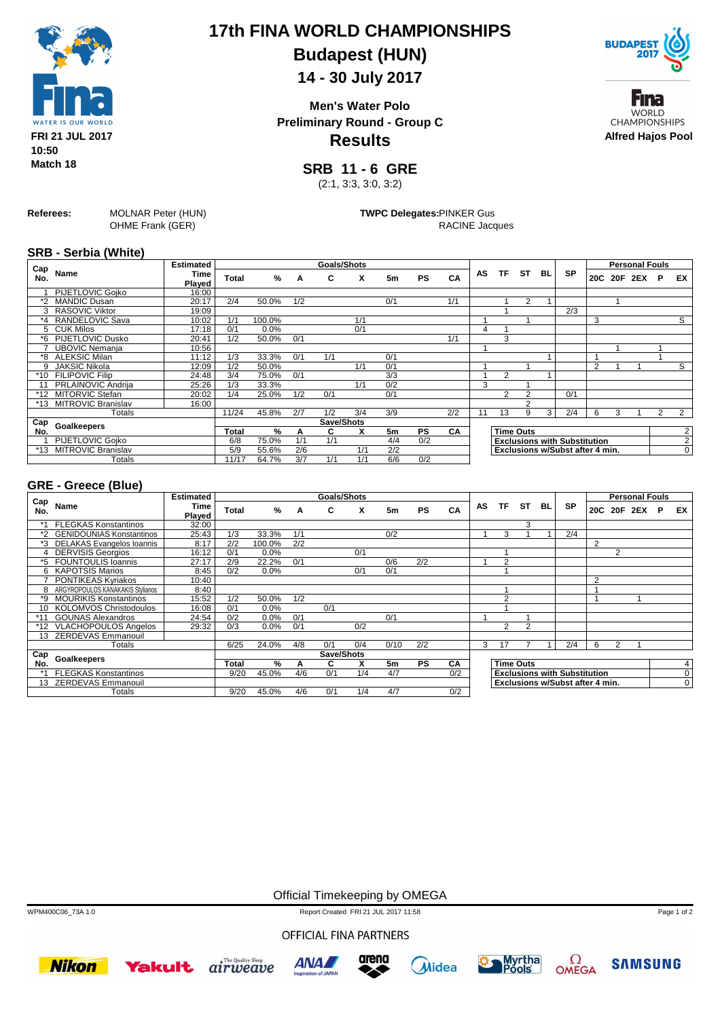

# **17th FINA WORLD CHAMPIONSHIPS Budapest (HUN)**

### **14 - 30 July 2017**

**Results Men's Water Polo Preliminary Round - Group C**



Fına **WORLD CHAMPIONSHIPS Alfred Hajos Pool**

**SRB 11 - 6 GRE**

(2:1, 3:3, 3:0, 3:2)

**Referees:** MOLNAR Peter (HUN) OHME Frank (GER)

**TWPC Delegates:**PINKER Gus RACINE Jacques

**SRB - Serbia (White)**

| Cap     |                           | <b>Estimated</b> |              |               |     | Goals/Shots |     |                |           |     |    |                |                  |                |                                     |                |   | <b>Personal Fouls</b> |   |                |
|---------|---------------------------|------------------|--------------|---------------|-----|-------------|-----|----------------|-----------|-----|----|----------------|------------------|----------------|-------------------------------------|----------------|---|-----------------------|---|----------------|
| No.     | Name                      | Time<br>Plaved   | Total        | %             | A   | C           | X   | 5 <sub>m</sub> | <b>PS</b> | CA  | AS | TF             | ST               | BL             | <b>SP</b>                           |                |   | 20C 20F 2EX           | P | EX             |
|         | <b>PIJETLOVIC Goiko</b>   | 16:00            |              |               |     |             |     |                |           |     |    |                |                  |                |                                     |                |   |                       |   |                |
| *2      | <b>MANDIC Dusan</b>       | 20:17            | 2/4          | 50.0%         | 1/2 |             |     | 0/1            |           | 1/1 |    |                | 2                |                |                                     |                |   |                       |   |                |
|         | 3 RASOVIC Viktor          | 19:09            |              |               |     |             |     |                |           |     |    |                |                  |                | 2/3                                 |                |   |                       |   |                |
| $*_{4}$ | RANDELOVIC Sava           | 10:02            | 1/1          | 100.0%        |     |             | 1/1 |                |           |     |    |                |                  |                |                                     | 3              |   |                       |   | $\overline{s}$ |
|         | 5 CUK Milos               | 17:18            | 0/1          | 0.0%          |     |             | 0/1 |                |           |     | 4  |                |                  |                |                                     |                |   |                       |   |                |
| *6      | <b>PIJETLOVIC Dusko</b>   | 20:41            | 1/2          | 50.0%         | 0/1 |             |     |                |           | 1/1 |    | 3              |                  |                |                                     |                |   |                       |   |                |
|         | <b>UBOVIC Nemania</b>     | 10:56            |              |               |     |             |     |                |           |     |    |                |                  |                |                                     |                |   |                       |   |                |
| *8      | <b>ALEKSIC Milan</b>      | 11:12            | 1/3          | 33.3%         | 0/1 | 1/1         |     | 0/1            |           |     |    |                |                  |                |                                     |                |   |                       |   |                |
| 9       | <b>JAKSIC Nikola</b>      | 12:09            | 1/2          | 50.0%         |     |             | 1/1 | 0/1            |           |     |    |                |                  |                |                                     | $\overline{2}$ |   |                       |   | $\overline{s}$ |
| $*10$   | <b>FILIPOVIC Filip</b>    | 24:48            | 3/4          | 75.0%         | 0/1 |             |     | 3/3            |           |     |    | 2              |                  |                |                                     |                |   |                       |   |                |
|         | <b>PRLAINOVIC Andrija</b> | 25:26            | 1/3          | 33.3%         |     |             | 1/1 | 0/2            |           |     | 3  |                |                  |                |                                     |                |   |                       |   |                |
| $*12$   | <b>MITORVIC Stefan</b>    | 20:02            | 1/4          | 25.0%         | 1/2 | 0/1         |     | 0/1            |           |     |    | $\overline{2}$ | 2                |                | 0/1                                 |                |   |                       |   |                |
| *13     | <b>MITROVIC Branislav</b> | 16:00            |              |               |     |             |     |                |           |     |    |                | $\mathcal{L}$    |                |                                     |                |   |                       |   |                |
|         | Totals                    |                  | 11/24        | 45.8%         | 2/7 | 1/2         | 3/4 | 3/9            |           | 2/2 |    | 13             | 9                | $\overline{3}$ | 2/4                                 | 6              | 3 |                       |   | 2              |
| Cap     | <b>Goalkeepers</b>        |                  |              |               |     | Save/Shots  |     |                |           |     |    |                |                  |                |                                     |                |   |                       |   |                |
| No.     |                           |                  | <b>Total</b> | $\frac{9}{6}$ | A   | C           | x   | 5 <sub>m</sub> | <b>PS</b> | CA  |    |                | <b>Time Outs</b> |                |                                     |                |   |                       |   | $\overline{2}$ |
|         | <b>PIJETLOVIC Goiko</b>   |                  | 6/8          | 75.0%         | 1/1 | 1/1         |     | 4/4            | 0/2       |     |    |                |                  |                | <b>Exclusions with Substitution</b> |                |   |                       |   | $\overline{2}$ |
| $*13$   | <b>MITROVIC Branislav</b> |                  | 5/9          | 55.6%         | 2/6 |             | 1/1 | 2/2            |           |     |    |                |                  |                | Exclusions w/Subst after 4 min.     |                |   |                       |   | $\Omega$       |
|         | Totals                    |                  | 11/17        | 64.7%         | 3/7 | 1/1         | 1/1 | 6/6            | 0/2       |     |    |                |                  |                |                                     |                |   |                       |   |                |

### **GRE - Greece (Blue)**

|                 |                                  | <b>Estimated</b> |       |        |     | Goals/Shots |     |      |           |     |    |                |                  |    |                                     | <b>Personal Fouls</b> |                |         |   |                |  |
|-----------------|----------------------------------|------------------|-------|--------|-----|-------------|-----|------|-----------|-----|----|----------------|------------------|----|-------------------------------------|-----------------------|----------------|---------|---|----------------|--|
| Cap<br>No.      | Name                             | Time<br>Played   | Total | %      | A   | C           | X   | 5m   | <b>PS</b> | CA  | AS | TF             | <b>ST</b>        | BL | SP                                  | 20C                   |                | 20F 2EX | P | EX             |  |
|                 | <b>FLEGKAS Konstantinos</b>      | 32:00            |       |        |     |             |     |      |           |     |    |                | 3                |    |                                     |                       |                |         |   |                |  |
| $*2$            | <b>GENIDOUNIAS Konstantinos</b>  | 25:43            | 1/3   | 33.3%  | 1/1 |             |     | 0/2  |           |     |    | 3              |                  |    | 2/4                                 |                       |                |         |   |                |  |
| *3              | <b>DELAKAS Evangelos Ioannis</b> | 8:17             | 2/2   | 100.0% | 2/2 |             |     |      |           |     |    |                |                  |    |                                     | 2                     |                |         |   |                |  |
|                 | <b>DERVISIS Georgios</b>         | 16:12            | 0/1   | 0.0%   |     |             | 0/1 |      |           |     |    |                |                  |    |                                     |                       | $\overline{2}$ |         |   |                |  |
| *5              | <b>FOUNTOULIS Ioannis</b>        | 27:17            | 2/9   | 22.2%  | 0/1 |             |     | 0/6  | 2/2       |     |    | $\overline{2}$ |                  |    |                                     |                       |                |         |   |                |  |
|                 | 6 KAPOTSIS Marios                | 8:45             | 0/2   | 0.0%   |     |             | 0/1 | 0/1  |           |     |    |                |                  |    |                                     |                       |                |         |   |                |  |
|                 | PONTIKEAS Kyriakos               | 10:40            |       |        |     |             |     |      |           |     |    |                |                  |    |                                     | $\overline{2}$        |                |         |   |                |  |
|                 | ARGYROPOULOS KANAKAKIS Stvlianos | 8:40             |       |        |     |             |     |      |           |     |    |                |                  |    |                                     |                       |                |         |   |                |  |
| *9              | <b>MOURIKIS Konstantinos</b>     | 15:52            | 1/2   | 50.0%  | 1/2 |             |     |      |           |     |    | 2              |                  |    |                                     |                       |                |         |   |                |  |
| 10              | <b>KOLOMVOS Christodoulos</b>    | 16:08            | 0/1   | 0.0%   |     | 0/1         |     |      |           |     |    |                |                  |    |                                     |                       |                |         |   |                |  |
|                 | <b>GOUNAS Alexandros</b>         | 24:54            | 0/2   | 0.0%   | 0/1 |             |     | 0/1  |           |     |    |                |                  |    |                                     |                       |                |         |   |                |  |
| *12             | <b>VLACHOPOULOS Angelos</b>      | 29:32            | 0/3   | 0.0%   | 0/1 |             | 0/2 |      |           |     |    | $\overline{2}$ | $\overline{2}$   |    |                                     |                       |                |         |   |                |  |
| 13 <sup>7</sup> | <b>ZERDEVAS Emmanouil</b>        |                  |       |        |     |             |     |      |           |     |    |                |                  |    |                                     |                       |                |         |   |                |  |
|                 | Totals                           |                  | 6/25  | 24.0%  | 4/8 | 0/1         | 0/4 | 0/10 | 2/2       |     | 3  | 17             |                  |    | 2/4                                 | 6                     | $\overline{2}$ |         |   |                |  |
| Cap             | <b>Goalkeepers</b>               |                  |       |        |     | Save/Shots  |     |      |           |     |    |                |                  |    |                                     |                       |                |         |   |                |  |
| No.             |                                  |                  | Total | %      | А   | C           |     | 5m   | <b>PS</b> | CA  |    |                | <b>Time Outs</b> |    |                                     |                       |                |         |   | 4              |  |
|                 | <b>FLEGKAS Konstantinos</b>      |                  | 9/20  | 45.0%  | 4/6 | 0/1         | 1/4 | 4/7  |           | 0/2 |    |                |                  |    | <b>Exclusions with Substitution</b> |                       |                |         |   | $\overline{0}$ |  |
|                 | 13 ZERDEVAS Emmanouil            |                  |       |        |     |             |     |      |           |     |    |                |                  |    | Exclusions w/Subst after 4 min.     |                       |                |         |   | $\mathbf 0$    |  |
|                 | Totals                           |                  | 9/20  | 45.0%  | 4/6 | 0/1         | 1/4 | 4/7  |           | 0/2 |    |                |                  |    |                                     |                       |                |         |   |                |  |

Official Timekeeping by OMEGA

WPM400C06\_73A 1.0 Report Created FRI 21 JUL 2017 11:58

OFFICIAL FINA PARTNERS













Page 1 of 2